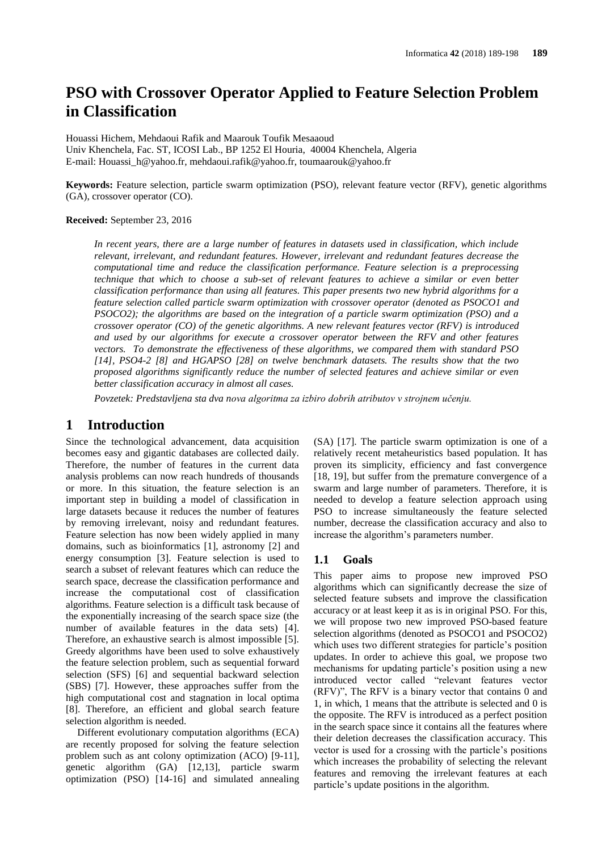# **PSO with Crossover Operator Applied to Feature Selection Problem in Classification**

Houassi Hichem, Mehdaoui Rafik and Maarouk Toufik Mesaaoud Univ Khenchela, Fac. ST, ICOSI Lab., BP 1252 El Houria, 40004 Khenchela, Algeria E-mail[: Houassi\\_h@yahoo.fr,](mailto:Houassi_h@yahoo.fr) [mehdaoui.rafik@yahoo.fr,](mailto:mehdaoui.rafik@yahoo.fr) [toumaarouk@yahoo.fr](mailto:toumaarouk@yahoo.fr)

**Keywords:** Feature selection, particle swarm optimization (PSO), relevant feature vector (RFV), genetic algorithms (GA), crossover operator (CO).

#### **Received:** September 23, 2016

*In recent years, there are a large number of features in datasets used in classification, which include relevant, irrelevant, and redundant features. However, irrelevant and redundant features decrease the computational time and reduce the classification performance. Feature selection is a preprocessing technique that which to choose a sub-set of relevant features to achieve a similar or even better classification performance than using all features. This paper presents two new hybrid algorithms for a feature selection called particle swarm optimization with crossover operator (denoted as PSOCO1 and PSOCO2); the algorithms are based on the integration of a particle swarm optimization (PSO) and a crossover operator (CO) of the genetic algorithms. A new relevant features vector (RFV) is introduced and used by our algorithms for execute a crossover operator between the RFV and other features vectors. To demonstrate the effectiveness of these algorithms, we compared them with standard PSO [14], PSO4-2 [8] and HGAPSO [28] on twelve benchmark datasets. The results show that the two proposed algorithms significantly reduce the number of selected features and achieve similar or even better classification accuracy in almost all cases.*

*Povzetek: Predstavljena sta dva nova algoritma za izbiro dobrih atributov v strojnem učenju.*

# **1 Introduction**

Since the technological advancement, data acquisition becomes easy and gigantic databases are collected daily. Therefore, the number of features in the current data analysis problems can now reach hundreds of thousands or more. In this situation, the feature selection is an important step in building a model of classification in large datasets because it reduces the number of features by removing irrelevant, noisy and redundant features. Feature selection has now been widely applied in many domains, such as bioinformatics [1], astronomy [2] and energy consumption [3]. Feature selection is used to search a subset of relevant features which can reduce the search space, decrease the classification performance and increase the computational cost of classification algorithms. Feature selection is a difficult task because of the exponentially increasing of the search space size (the number of available features in the data sets) [4]. Therefore, an exhaustive search is almost impossible [5]. Greedy algorithms have been used to solve exhaustively the feature selection problem, such as sequential forward selection (SFS) [6] and sequential backward selection (SBS) [7]. However, these approaches suffer from the high computational cost and stagnation in local optima [8]. Therefore, an efficient and global search feature selection algorithm is needed.

Different evolutionary computation algorithms (ECA) are recently proposed for solving the feature selection problem such as ant colony optimization (ACO) [9-11], genetic algorithm (GA) [12,13], particle swarm optimization (PSO) [14-16] and simulated annealing

(SA) [17]. The particle swarm optimization is one of a relatively recent metaheuristics based population. It has proven its simplicity, efficiency and fast convergence [18, 19], but suffer from the premature convergence of a swarm and large number of parameters. Therefore, it is needed to develop a feature selection approach using PSO to increase simultaneously the feature selected number, decrease the classification accuracy and also to increase the algorithm's parameters number.

### **1.1 Goals**

This paper aims to propose new improved PSO algorithms which can significantly decrease the size of selected feature subsets and improve the classification accuracy or at least keep it as is in original PSO. For this, we will propose two new improved PSO-based feature selection algorithms (denoted as PSOCO1 and PSOCO2) which uses two different strategies for particle's position updates. In order to achieve this goal, we propose two mechanisms for updating particle's position using a new introduced vector called "relevant features vector (RFV)", The RFV is a binary vector that contains 0 and 1, in which, 1 means that the attribute is selected and 0 is the opposite. The RFV is introduced as a perfect position in the search space since it contains all the features where their deletion decreases the classification accuracy. This vector is used for a crossing with the particle's positions which increases the probability of selecting the relevant features and removing the irrelevant features at each particle's update positions in the algorithm.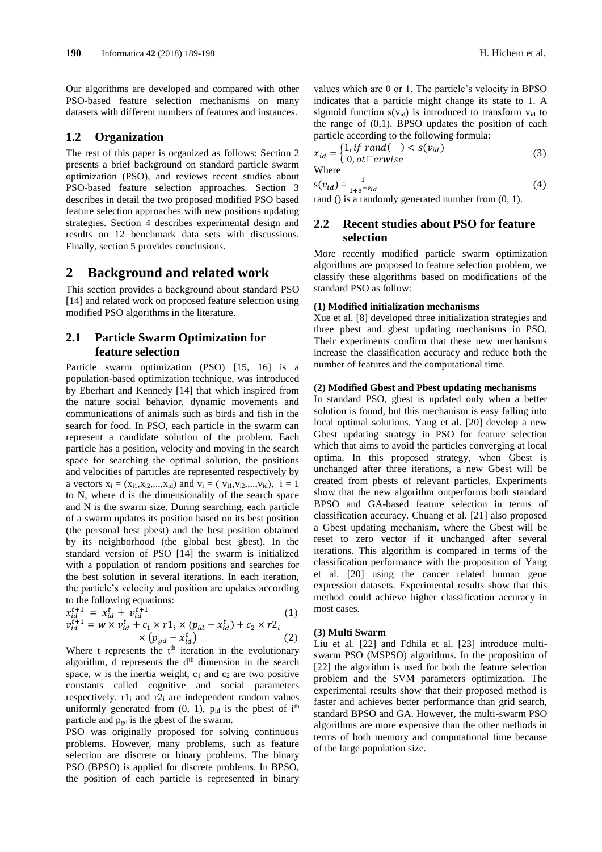Our algorithms are developed and compared with other PSO-based feature selection mechanisms on many datasets with different numbers of features and instances.

### **1.2 Organization**

The rest of this paper is organized as follows: Section 2 presents a brief background on standard particle swarm optimization (PSO), and reviews recent studies about PSO-based feature selection approaches. Section 3 describes in detail the two proposed modified PSO based feature selection approaches with new positions updating strategies. Section 4 describes experimental design and results on 12 benchmark data sets with discussions. Finally, section 5 provides conclusions.

# **2 Background and related work**

This section provides a background about standard PSO [14] and related work on proposed feature selection using modified PSO algorithms in the literature.

# **2.1 Particle Swarm Optimization for feature selection**

Particle swarm optimization (PSO) [15, 16] is a population-based optimization technique, was introduced by Eberhart and Kennedy [14] that which inspired from the nature social behavior, dynamic movements and communications of animals such as birds and fish in the search for food. In PSO, each particle in the swarm can represent a candidate solution of the problem. Each particle has a position, velocity and moving in the search space for searching the optimal solution, the positions and velocities of particles are represented respectively by a vectors  $x_i = (x_{i1}, x_{i2},...,x_{id})$  and  $v_i = (v_{i1}, v_{i2},...,v_{id})$ ,  $i = 1$ to N, where d is the dimensionality of the search space and N is the swarm size. During searching, each particle of a swarm updates its position based on its best position (the personal best pbest) and the best position obtained by its neighborhood (the global best gbest). In the standard version of PSO [14] the swarm is initialized with a population of random positions and searches for the best solution in several iterations. In each iteration, the particle's velocity and position are updates according to the following equations:

$$
x_{id}^{t+1} = x_{id}^t + v_{id}^{t+1}
$$
  
\n
$$
v_{id}^{t+1} = w \times v_{id}^t + c_1 \times r1_i \times (p_{id} - x_{id}^t) + c_2 \times r2_i
$$
  
\n
$$
\times (p_{gd} - x_{id}^t)
$$
  
\n(2)

Where t represents the  $t<sup>th</sup>$  iteration in the evolutionary algorithm,  $\overline{d}$  represents the  $d<sup>th</sup>$  dimension in the search space, w is the inertia weight,  $c_1$  and  $c_2$  are two positive constants called cognitive and social parameters respectively.  $r1_i$  and  $r2_i$  are independent random values uniformly generated from  $(0, 1)$ ,  $p_{id}$  is the pbest of i<sup>th</sup> particle and  $p_{gd}$  is the gbest of the swarm.

PSO was originally proposed for solving continuous problems. However, many problems, such as feature selection are discrete or binary problems. The binary PSO (BPSO) is applied for discrete problems. In BPSO, the position of each particle is represented in binary values which are 0 or 1. The particle's velocity in BPSO indicates that a particle might change its state to 1. A sigmoid function  $s(v_{id})$  is introduced to transform  $v_{id}$  to the range of  $(0,1)$ . BPSO updates the position of each particle according to the following formula:

$$
x_{id} = \begin{cases} 1, if \, rand() < s(v_{id}) \\ 0, ot \square \, erwise \end{cases} \tag{3}
$$

Where

$$
s(v_{id}) = \frac{1}{1 + e^{-v_{id}}}
$$
 (4)

rand () is a randomly generated number from  $(0, 1)$ .

# **2.2 Recent studies about PSO for feature selection**

More recently modified particle swarm optimization algorithms are proposed to feature selection problem, we classify these algorithms based on modifications of the standard PSO as follow:

#### **(1) Modified initialization mechanisms**

Xue et al. [8] developed three initialization strategies and three pbest and gbest updating mechanisms in PSO. Their experiments confirm that these new mechanisms increase the classification accuracy and reduce both the number of features and the computational time.

#### **(2) Modified Gbest and Pbest updating mechanisms**

In standard PSO, gbest is updated only when a better solution is found, but this mechanism is easy falling into local optimal solutions. Yang et al. [20] develop a new Gbest updating strategy in PSO for feature selection which that aims to avoid the particles converging at local optima. In this proposed strategy, when Gbest is unchanged after three iterations, a new Gbest will be created from pbests of relevant particles. Experiments show that the new algorithm outperforms both standard BPSO and GA-based feature selection in terms of classification accuracy. Chuang et al. [21] also proposed a Gbest updating mechanism, where the Gbest will be reset to zero vector if it unchanged after several iterations. This algorithm is compared in terms of the classification performance with the proposition of Yang et al. [20] using the cancer related human gene expression datasets. Experimental results show that this method could achieve higher classification accuracy in most cases.

#### **(3) Multi Swarm**

Liu et al. [22] and Fdhila et al. [23] introduce multiswarm PSO (MSPSO) algorithms. In the proposition of [22] the algorithm is used for both the feature selection problem and the SVM parameters optimization. The experimental results show that their proposed method is faster and achieves better performance than grid search, standard BPSO and GA. However, the multi-swarm PSO algorithms are more expensive than the other methods in terms of both memory and computational time because of the large population size.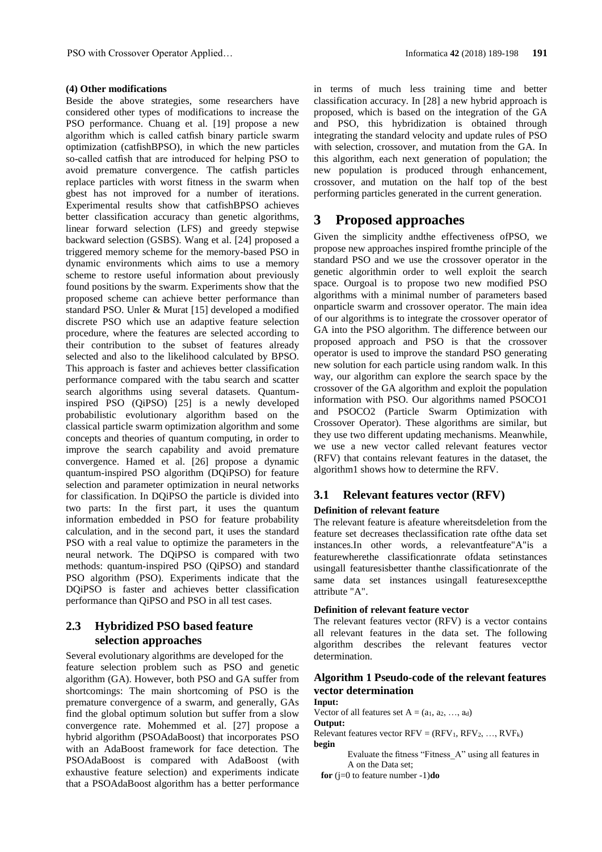#### **(4) Other modifications**

Beside the above strategies, some researchers have considered other types of modifications to increase the PSO performance. Chuang et al. [19] propose a new algorithm which is called catfish binary particle swarm optimization (catfishBPSO), in which the new particles so-called catfish that are introduced for helping PSO to avoid premature convergence. The catfish particles replace particles with worst fitness in the swarm when gbest has not improved for a number of iterations. Experimental results show that catfishBPSO achieves better classification accuracy than genetic algorithms, linear forward selection (LFS) and greedy stepwise backward selection (GSBS). Wang et al. [24] proposed a triggered memory scheme for the memory-based PSO in dynamic environments which aims to use a memory scheme to restore useful information about previously found positions by the swarm. Experiments show that the proposed scheme can achieve better performance than standard PSO. Unler & Murat [15] developed a modified discrete PSO which use an adaptive feature selection procedure, where the features are selected according to their contribution to the subset of features already selected and also to the likelihood calculated by BPSO. This approach is faster and achieves better classification performance compared with the tabu search and scatter search algorithms using several datasets. Quantuminspired PSO (QiPSO) [25] is a newly developed probabilistic evolutionary algorithm based on the classical particle swarm optimization algorithm and some concepts and theories of quantum computing, in order to improve the search capability and avoid premature convergence. Hamed et al. [26] propose a dynamic quantum-inspired PSO algorithm (DQiPSO) for feature selection and parameter optimization in neural networks for classification. In DQiPSO the particle is divided into two parts: In the first part, it uses the quantum information embedded in PSO for feature probability calculation, and in the second part, it uses the standard PSO with a real value to optimize the parameters in the neural network. The DQiPSO is compared with two methods: quantum-inspired PSO (QiPSO) and standard PSO algorithm (PSO). Experiments indicate that the DQiPSO is faster and achieves better classification performance than QiPSO and PSO in all test cases.

# **2.3 Hybridized PSO based feature selection approaches**

Several evolutionary algorithms are developed for the feature selection problem such as PSO and genetic algorithm (GA). However, both PSO and GA suffer from shortcomings: The main shortcoming of PSO is the premature convergence of a swarm, and generally, GAs find the global optimum solution but suffer from a slow convergence rate. Mohemmed et al. [27] propose a hybrid algorithm (PSOAdaBoost) that incorporates PSO with an AdaBoost framework for face detection. The PSOAdaBoost is compared with AdaBoost (with exhaustive feature selection) and experiments indicate that a PSOAdaBoost algorithm has a better performance in terms of much less training time and better classification accuracy. In [28] a new hybrid approach is proposed, which is based on the integration of the GA and PSO, this hybridization is obtained through integrating the standard velocity and update rules of PSO with selection, crossover, and mutation from the GA. In this algorithm, each next generation of population; the new population is produced through enhancement, crossover, and mutation on the half top of the best performing particles generated in the current generation.

# **3 Proposed approaches**

Given the simplicity andthe effectiveness ofPSO, we propose new approaches inspired fromthe principle of the standard PSO and we use the crossover operator in the genetic algorithmin order to well exploit the search space. Ourgoal is to propose two new modified PSO algorithms with a minimal number of parameters based onparticle swarm and crossover operator. The main idea of our algorithms is to integrate the crossover operator of GA into the PSO algorithm. The difference between our proposed approach and PSO is that the crossover operator is used to improve the standard PSO generating new solution for each particle using random walk. In this way, our algorithm can explore the search space by the crossover of the GA algorithm and exploit the population information with PSO. Our algorithms named PSOCO1 and PSOCO2 (Particle Swarm Optimization with Crossover Operator). These algorithms are similar, but they use two different updating mechanisms. Meanwhile, we use a new vector called relevant features vector (RFV) that contains relevant features in the dataset, the algorithm1 shows how to determine the RFV.

# **3.1 Relevant features vector (RFV)**

#### **Definition of relevant feature**

The relevant feature is afeature whereitsdeletion from the feature set decreases theclassification rate ofthe data set instances.In other words, a relevantfeature"A"is a featurewherethe classificationrate ofdata setinstances usingall featuresisbetter thanthe classificationrate of the same data set instances usingall featuresexceptthe attribute "A".

### **Definition of relevant feature vector**

The relevant features vector (RFV) is a vector contains all relevant features in the data set. The following algorithm describes the relevant features vector determination.

# **Algorithm 1 Pseudo-code of the relevant features vector determination**

#### **Input:**

Vector of all features set  $A = (a_1, a_2, ..., a_d)$ 

**Output:** 

Relevant features vector  $RFV = (RFV_1, RFV_2, ..., RVF_k)$ **begin**

Evaluate the fitness "Fitness\_A" using all features in A on the Data set;

**for** (j=0 to feature number -1)**do**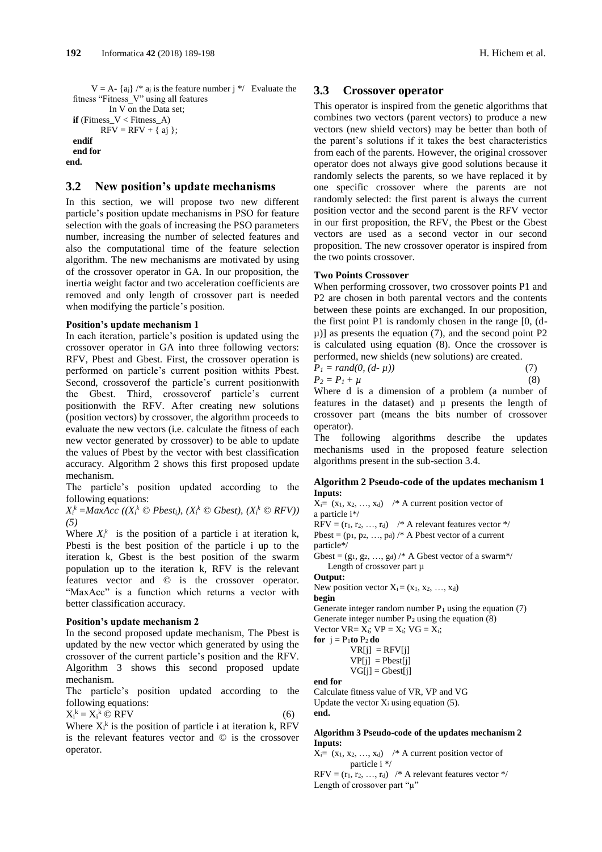$V = A - \{a_j\}$  /\*  $a_j$  is the feature number j \*/ Evaluate the fitness "Fitness<sup>"</sup>V" using all features

```
 In V on the Data set;
 if (Fitness V < Fitness A)
         RFV = RFV + \{ ai \};
 endif
 end for
end.
```
# **3.2 New position's update mechanisms**

In this section, we will propose two new different particle's position update mechanisms in PSO for feature selection with the goals of increasing the PSO parameters number, increasing the number of selected features and also the computational time of the feature selection algorithm. The new mechanisms are motivated by using of the crossover operator in GA. In our proposition, the inertia weight factor and two acceleration coefficients are removed and only length of crossover part is needed when modifying the particle's position.

#### **Position's update mechanism 1**

In each iteration, particle's position is updated using the crossover operator in GA into three following vectors: RFV, Pbest and Gbest. First, the crossover operation is performed on particle's current position withits Pbest. Second, crossoverof the particle's current positionwith the Gbest. Third, crossoverof particle's current positionwith the RFV. After creating new solutions (position vectors) by crossover, the algorithm proceeds to evaluate the new vectors (i.e. calculate the fitness of each new vector generated by crossover) to be able to update the values of Pbest by the vector with best classification accuracy. Algorithm 2 shows this first proposed update mechanism.

The particle's position updated according to the following equations:

 $X_i^k = MaxAcc \ ((X_i^k \odot Pbest_i), (X_i^k \odot Gbest_i), (X_i^k \odot RFV))$ *(5)*

Where  $X_i^k$  is the position of a particle i at iteration k, Pbesti is the best position of the particle i up to the iteration k, Gbest is the best position of the swarm population up to the iteration k, RFV is the relevant features vector and © is the crossover operator. "MaxAcc" is a function which returns a vector with better classification accuracy.

#### **Position's update mechanism 2**

In the second proposed update mechanism, The Pbest is updated by the new vector which generated by using the crossover of the current particle's position and the RFV. Algorithm 3 shows this second proposed update mechanism.

The particle's position updated according to the following equations:

$$
X_i^k = X_i^k \mathbb{O} RFV \tag{6}
$$

Where  $X_i^k$  is the position of particle i at iteration k, RFV is the relevant features vector and © is the crossover operator.

### **3.3 Crossover operator**

This operator is inspired from the genetic algorithms that combines two vectors (parent vectors) to produce a new vectors (new shield vectors) may be better than both of the parent's solutions if it takes the best characteristics from each of the parents. However, the original crossover operator does not always give good solutions because it randomly selects the parents, so we have replaced it by one specific crossover where the parents are not randomly selected: the first parent is always the current position vector and the second parent is the RFV vector in our first proposition, the RFV, the Pbest or the Gbest vectors are used as a second vector in our second proposition. The new crossover operator is inspired from the two points crossover.

#### **Two Points Crossover**

When performing crossover, two crossover points P1 and P2 are chosen in both parental vectors and the contents between these points are exchanged. In our proposition, the first point P1 is randomly chosen in the range [0, (d- $\mu$ )] as presents the equation (7), and the second point P2 is calculated using equation (8). Once the crossover is performed, new shields (new solutions) are created.

$$
P_1 = rand(0, (d - \mu))
$$
  
\n
$$
P_2 = P_1 + \mu
$$
 (3)

Where d is a dimension of a problem (a number of features in the dataset) and µ presents the length of crossover part (means the bits number of crossover operator).

The following algorithms describe the updates mechanisms used in the proposed feature selection algorithms present in the sub-section 3.4.

#### **Algorithm 2 Pseudo-code of the updates mechanism 1 Inputs:**

 $X_i = (x_1, x_2, ..., x_d)$  /\* A current position vector of a particle i\*/

 $RFV = (r_1, r_2, ..., r_d)$  /\* A relevant features vector \*/ Pbest =  $(p_1, p_2, ..., p_d)$  /\* A Pbest vector of a current particle\*/

Gbest =  $(g_1, g_2, ..., g_d)$  /\* A Gbest vector of a swarm\*/ Length of crossover part  $\mu$ 

#### **Output:**

New position vector  $X_i = (x_1, x_2, ..., x_d)$ **begin**

Generate integer random number  $P_1$  using the equation (7) Generate integer number  $P_2$  using the equation  $(8)$ Vector  $VR = X_i$ ;  $VP = X_i$ ;  $VG = X_i$ ;

**for**  $j = P_1$ **to**  $P_2$ **do** 

 $VRI$ i $=$ RFV $[i]$  $VP[j] = Pbest[j]$  $VG[i] = Gbest[j]$ 

**end for**

Calculate fitness value of VR, VP and VG Update the vector  $X_i$  using equation (5). **end.**

#### **Algorithm 3 Pseudo-code of the updates mechanism 2 Inputs:**

 $X_i = (x_1, x_2, ..., x_d)$  /\* A current position vector of particle i \*/

 $RFV = (r_1, r_2, ..., r_d)$  /\* A relevant features vector \*/ Length of crossover part "µ"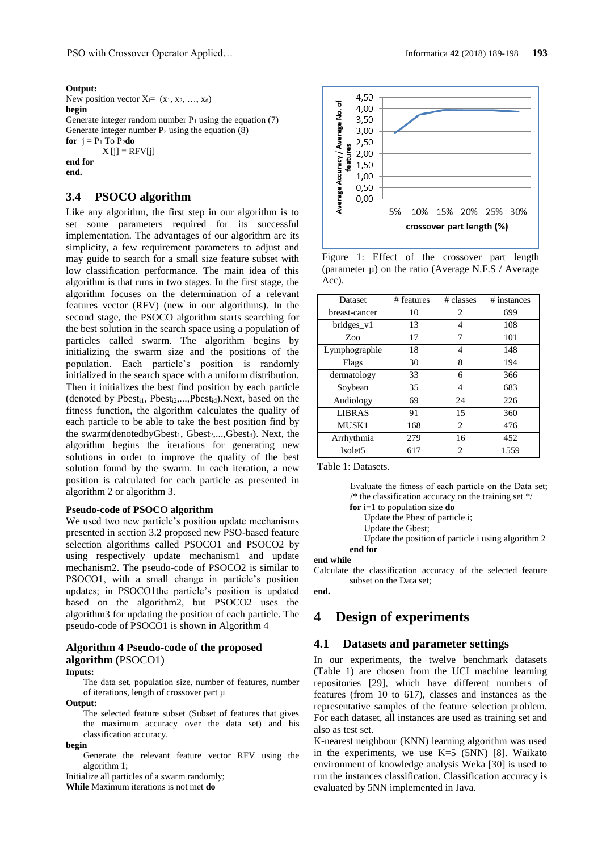#### **Output:**

New position vector  $X_i = (x_1, x_2, \ldots, x_d)$ **begin** Generate integer random number  $P_1$  using the equation (7) Generate integer number  $P_2$  using the equation  $(8)$ **for**  $i = P_1$  To  $P_2$ **do**  $X_i[j] = RFV[i]$ **end for end.**

# **3.4 PSOCO algorithm**

Like any algorithm, the first step in our algorithm is to set some parameters required for its successful implementation. The advantages of our algorithm are its simplicity, a few requirement parameters to adjust and may guide to search for a small size feature subset with low classification performance. The main idea of this algorithm is that runs in two stages. In the first stage, the algorithm focuses on the determination of a relevant features vector (RFV) (new in our algorithms). In the second stage, the PSOCO algorithm starts searching for the best solution in the search space using a population of particles called swarm. The algorithm begins by initializing the swarm size and the positions of the population. Each particle's position is randomly initialized in the search space with a uniform distribution. Then it initializes the best find position by each particle (denoted by  $Pbest_{i1}$ ,  $Pbest_{i2}$ ,..., $Pbest_{id}$ ). Next, based on the fitness function, the algorithm calculates the quality of each particle to be able to take the best position find by the swarm(denotedbyGbest<sub>1</sub>, Gbest<sub>2</sub>,...,Gbest<sub>d</sub>). Next, the algorithm begins the iterations for generating new solutions in order to improve the quality of the best solution found by the swarm. In each iteration, a new position is calculated for each particle as presented in algorithm 2 or algorithm 3.

# **Pseudo-code of PSOCO algorithm**

We used two new particle's position update mechanisms presented in section 3.2 proposed new PSO-based feature selection algorithms called PSOCO1 and PSOCO2 by using respectively update mechanism1 and update mechanism2. The pseudo-code of PSOCO2 is similar to PSOCO1, with a small change in particle's position updates; in PSOCO1the particle's position is updated based on the algorithm2, but PSOCO2 uses the algorithm3 for updating the position of each particle. The pseudo-code of PSOCO1 is shown in Algorithm 4

# **Algorithm 4 Pseudo-code of the proposed algorithm (**PSOCO1)

#### **Inputs:**

The data set, population size, number of features, number of iterations, length of crossover part µ

**Output:**

The selected feature subset (Subset of features that gives the maximum accuracy over the data set) and his classification accuracy.

#### **begin**

Generate the relevant feature vector RFV using the algorithm 1;

Initialize all particles of a swarm randomly;

**While** Maximum iterations is not met **do**



Figure 1: Effect of the crossover part length (parameter  $\mu$ ) on the ratio (Average N.F.S / Average Acc).

| <b>Dataset</b>      | # features | # classes | # instances |  |  |
|---------------------|------------|-----------|-------------|--|--|
| breast-cancer       | 10         | 2         | 699         |  |  |
| bridges v1          | 13         | 4         | 108         |  |  |
| Zoo                 | 17         | 7         | 101         |  |  |
| Lymphographie       | 18         | 4         | 148         |  |  |
| Flags               | 30         | 8         | 194         |  |  |
| dermatology         | 33         | 6         | 366         |  |  |
| Soybean             | 35         | 4         | 683         |  |  |
| Audiology           | 69         | 24        | 226         |  |  |
| <b>LIBRAS</b>       | 91         | 15        | 360         |  |  |
| MUSK1               | 168        | 2         | 476         |  |  |
| Arrhythmia          | 279        | 16        | 452         |  |  |
| Isolet <sub>5</sub> | 617        | 2         | 1559        |  |  |

Table 1: Datasets.

Evaluate the fitness of each particle on the Data set;  $\frac{1}{\sqrt{2}}$  the classification accuracy on the training set  $\frac{1}{\sqrt{2}}$ 

**for** i=1 to population size **do** Update the Pbest of particle i;

- Update the Gbest;
- Update the position of particle i using algorithm 2 **end for**

#### **end while**

Calculate the classification accuracy of the selected feature subset on the Data set;

**end.**

# **4 Design of experiments**

### **4.1 Datasets and parameter settings**

In our experiments, the twelve benchmark datasets (Table 1) are chosen from the UCI machine learning repositories [29], which have different numbers of features (from 10 to 617), classes and instances as the representative samples of the feature selection problem. For each dataset, all instances are used as training set and also as test set.

K-nearest neighbour (KNN) learning algorithm was used in the experiments, we use  $K=5$  (5NN) [8]. Waikato environment of knowledge analysis Weka [30] is used to run the instances classification. Classification accuracy is evaluated by 5NN implemented in Java.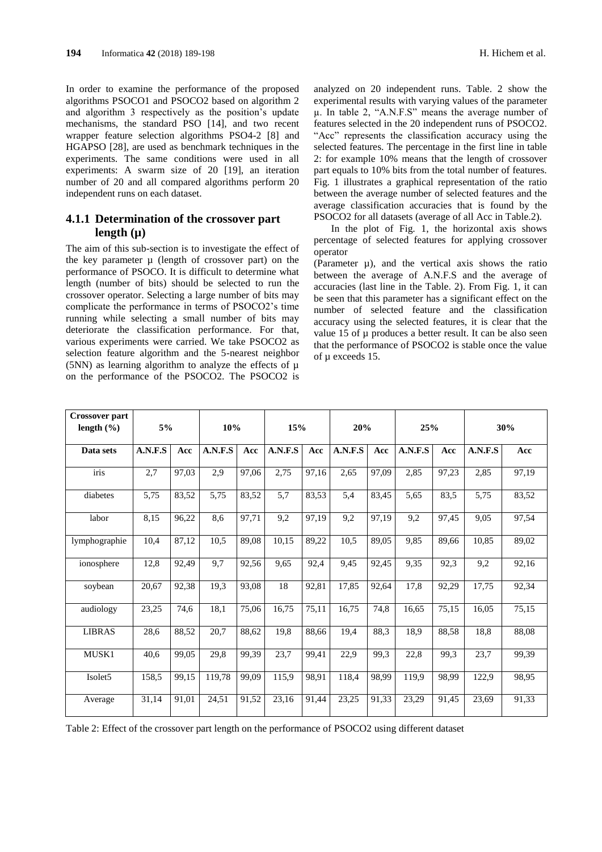In order to examine the performance of the proposed algorithms PSOCO1 and PSOCO2 based on algorithm 2 and algorithm 3 respectively as the position's update mechanisms, the standard PSO [14], and two recent wrapper feature selection algorithms PSO4-2 [8] and HGAPSO [28], are used as benchmark techniques in the experiments. The same conditions were used in all experiments: A swarm size of 20 [19], an iteration number of 20 and all compared algorithms perform 20 independent runs on each dataset.

# **4.1.1 Determination of the crossover part length (µ)**

The aim of this sub-section is to investigate the effect of the key parameter  $\mu$  (length of crossover part) on the performance of PSOCO. It is difficult to determine what length (number of bits) should be selected to run the crossover operator. Selecting a large number of bits may complicate the performance in terms of PSOCO2's time running while selecting a small number of bits may deteriorate the classification performance. For that, various experiments were carried. We take PSOCO2 as selection feature algorithm and the 5-nearest neighbor (5NN) as learning algorithm to analyze the effects of µ on the performance of the PSOCO2. The PSOCO2 is

analyzed on 20 independent runs. Table. 2 show the experimental results with varying values of the parameter µ. In table 2, "A.N.F.S" means the average number of features selected in the 20 independent runs of PSOCO2. "Acc" represents the classification accuracy using the selected features. The percentage in the first line in table 2: for example 10% means that the length of crossover part equals to 10% bits from the total number of features. Fig. 1 illustrates a graphical representation of the ratio between the average number of selected features and the average classification accuracies that is found by the PSOCO2 for all datasets (average of all Acc in Table.2).

In the plot of Fig. 1, the horizontal axis shows percentage of selected features for applying crossover operator

(Parameter  $\mu$ ), and the vertical axis shows the ratio between the average of A.N.F.S and the average of accuracies (last line in the Table. 2). From Fig. 1, it can be seen that this parameter has a significant effect on the number of selected feature and the classification accuracy using the selected features, it is clear that the value  $15$  of  $\mu$  produces a better result. It can be also seen that the performance of PSOCO2 is stable once the value of µ exceeds 15.

| <b>Crossover part</b><br>length (%) | 5%      |       | 10%     |       | 15%     |       | 20%     |       | 25%     |       |         | 30%   |
|-------------------------------------|---------|-------|---------|-------|---------|-------|---------|-------|---------|-------|---------|-------|
| Data sets                           | A.N.F.S | Acc   | A.N.F.S | Acc   | A.N.F.S | Acc   | A.N.F.S | Acc   | A.N.F.S | Acc   | A.N.F.S | Acc   |
| iris                                | 2,7     | 97,03 | 2,9     | 97,06 | 2,75    | 97,16 | 2,65    | 97,09 | 2.85    | 97,23 | 2,85    | 97,19 |
| diabetes                            | 5,75    | 83,52 | 5,75    | 83,52 | 5,7     | 83,53 | 5,4     | 83,45 | 5,65    | 83,5  | 5,75    | 83,52 |
| labor                               | 8,15    | 96,22 | 8,6     | 97,71 | 9,2     | 97,19 | 9,2     | 97,19 | 9,2     | 97,45 | 9,05    | 97,54 |
| lymphographie                       | 10,4    | 87,12 | 10,5    | 89,08 | 10,15   | 89,22 | 10,5    | 89,05 | 9,85    | 89,66 | 10,85   | 89,02 |
| ionosphere                          | 12,8    | 92,49 | 9,7     | 92,56 | 9,65    | 92,4  | 9,45    | 92,45 | 9,35    | 92,3  | 9,2     | 92,16 |
| soybean                             | 20,67   | 92,38 | 19,3    | 93,08 | 18      | 92,81 | 17,85   | 92,64 | 17,8    | 92,29 | 17,75   | 92,34 |
| audiology                           | 23,25   | 74,6  | 18,1    | 75,06 | 16,75   | 75,11 | 16,75   | 74,8  | 16.65   | 75,15 | 16,05   | 75,15 |
| <b>LIBRAS</b>                       | 28,6    | 88,52 | 20,7    | 88,62 | 19,8    | 88,66 | 19.4    | 88,3  | 18,9    | 88,58 | 18,8    | 88,08 |
| MUSK1                               | 40,6    | 99,05 | 29,8    | 99,39 | 23,7    | 99,41 | 22,9    | 99.3  | 22,8    | 99,3  | 23,7    | 99,39 |
| Isolet <sub>5</sub>                 | 158,5   | 99,15 | 119,78  | 99,09 | 115,9   | 98.91 | 118,4   | 98,99 | 119,9   | 98,99 | 122,9   | 98,95 |
| Average                             | 31,14   | 91,01 | 24,51   | 91,52 | 23,16   | 91,44 | 23,25   | 91,33 | 23,29   | 91,45 | 23,69   | 91,33 |

Table 2: Effect of the crossover part length on the performance of PSOCO2 using different dataset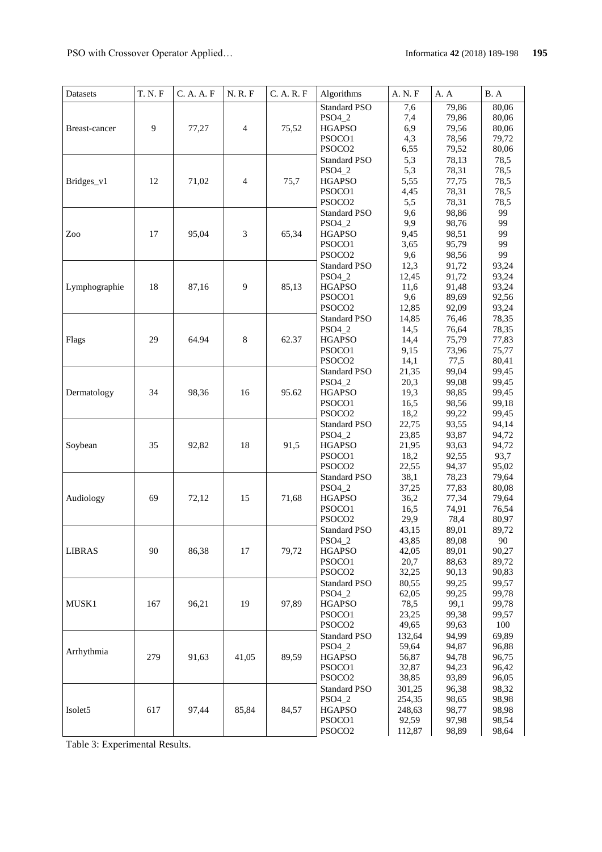| Datasets      | <b>T. N. F</b> | C. A. A. F | N. R. F        | C. A. R. F | Algorithms              | A. N. F      | A. A           | B.A            |
|---------------|----------------|------------|----------------|------------|-------------------------|--------------|----------------|----------------|
|               |                |            |                |            | <b>Standard PSO</b>     | 7,6          | 79,86          | 80,06          |
| Breast-cancer |                | 77,27      | $\overline{4}$ | 75,52      | PSO4_2                  | 7,4          | 79.86          | 80,06          |
|               | 9              |            |                |            | <b>HGAPSO</b>           | 6,9          | 79,56          | 80,06          |
|               |                |            |                |            | PSOCO1                  | 4,3          | 78,56          | 79,72          |
|               |                |            |                |            | PSOCO <sub>2</sub>      | 6,55         | 79,52          | 80,06          |
|               |                |            |                |            | <b>Standard PSO</b>     | 5,3          | 78,13          | 78,5           |
|               |                |            |                |            | PSO4_2                  | 5,3          | 78,31          | 78,5           |
| Bridges_v1    | 12             | 71,02      | $\overline{4}$ | 75,7       | <b>HGAPSO</b>           | 5,55         | 77,75          | 78,5           |
|               |                |            |                |            | PSOCO1                  | 4,45         | 78,31          | 78,5           |
|               |                |            |                |            | PSOCO <sub>2</sub>      | 5,5          | 78,31          | 78,5           |
|               |                |            |                |            | <b>Standard PSO</b>     | 9,6          | 98,86          | 99             |
|               |                |            |                |            | PSO4_2                  | 9,9          | 98,76          | 99             |
| Zoo           | 17             | 95,04      | 3              | 65,34      | <b>HGAPSO</b>           | 9,45         | 98,51          | 99             |
|               |                |            |                |            | PSOCO1                  | 3,65         | 95,79          | 99             |
|               |                |            |                |            | PSOCO <sub>2</sub>      | 9,6          | 98,56          | 99             |
|               |                |            |                |            | <b>Standard PSO</b>     | 12,3         | 91,72          | 93,24          |
|               |                |            |                |            | PSO4_2                  | 12,45        | 91,72          | 93,24          |
| Lymphographie | 18             | 87,16      | 9              | 85,13      | <b>HGAPSO</b>           | 11,6         | 91,48          | 93,24          |
|               |                |            |                |            | PSOCO1                  | 9,6          | 89,69          | 92,56          |
|               |                |            |                |            | PSOCO <sub>2</sub>      | 12,85        | 92,09          | 93,24          |
|               |                |            | 8              |            | <b>Standard PSO</b>     | 14,85        | 76,46          | 78,35          |
|               |                |            |                |            | PSO4_2                  | 14,5         | 76,64          | 78,35          |
| Flags         | 29             | 64.94      |                | 62.37      | <b>HGAPSO</b>           | 14,4         | 75,79          | 77,83          |
|               |                |            |                |            | PSOCO1                  | 9,15         | 73,96          | 75,77          |
|               |                |            |                |            | PSOCO <sub>2</sub>      | 14,1         | 77,5           | 80,41          |
|               |                | 98,36      | 16             | 95.62      | <b>Standard PSO</b>     | 21,35        | 99,04          | 99,45          |
|               | 34             |            |                |            | PSO4_2                  | 20,3         | 99,08          | 99,45          |
| Dermatology   |                |            |                |            | <b>HGAPSO</b><br>PSOCO1 | 19,3<br>16,5 | 98,85<br>98,56 | 99,45<br>99,18 |
|               |                |            |                |            | PSOCO <sub>2</sub>      | 18,2         | 99,22          | 99,45          |
|               |                |            |                |            | <b>Standard PSO</b>     | 22,75        | 93,55          | 94,14          |
|               |                | 92,82      | 18             | 91,5       | PSO4_2                  | 23,85        | 93,87          | 94,72          |
| Soybean       | 35             |            |                |            | <b>HGAPSO</b>           | 21,95        | 93,63          | 94,72          |
|               |                |            |                |            | PSOCO1                  | 18,2         | 92,55          | 93,7           |
|               |                |            |                |            | PSOCO <sub>2</sub>      | 22,55        | 94,37          | 95,02          |
|               |                |            |                |            | <b>Standard PSO</b>     | 38,1         | 78,23          | 79,64          |
|               | 69             | 72,12      | 15             | 71,68      | PSO4_2                  | 37,25        | 77,83          | 80,08          |
| Audiology     |                |            |                |            | <b>HGAPSO</b>           | 36,2         | 77,34          | 79,64          |
|               |                |            |                |            | PSOCO1                  | 16,5         | 74,91          | 76,54          |
|               |                |            |                |            | PSOCO <sub>2</sub>      | 29,9         | 78,4           | 80,97          |
|               |                |            |                |            | <b>Standard PSO</b>     | 43,15        | 89,01          | 89,72          |
|               |                |            |                |            | $PSO4_2$                | 43,85        | 89,08          | 90             |
| <b>LIBRAS</b> | 90             | 86,38      | 17             | 79,72      | <b>HGAPSO</b>           | 42,05        | 89,01          | 90,27          |
|               |                |            |                |            | PSOCO1                  | 20,7         | 88,63          | 89,72          |
|               |                |            |                |            | PSOCO <sub>2</sub>      | 32,25        | 90,13          | 90,83          |
|               |                |            |                |            | <b>Standard PSO</b>     | 80,55        | 99,25          | 99,57          |
|               |                |            |                |            | PSO4_2                  | 62,05        | 99,25          | 99,78          |
| MUSK1         | 167            | 96,21      | 19             | 97,89      | <b>HGAPSO</b>           | 78,5         | 99,1           | 99,78          |
|               |                |            |                |            | PSOCO1                  | 23,25        | 99,38          | 99,57          |
|               |                |            |                |            | PSOCO <sub>2</sub>      | 49,65        | 99,63          | 100            |
| Arrhythmia    |                | 91,63      | 41,05          |            | <b>Standard PSO</b>     | 132,64       | 94,99          | 69,89          |
|               | 279            |            |                | 89,59      | PSO4_2                  | 59,64        | 94,87          | 96,88          |
|               |                |            |                |            | <b>HGAPSO</b>           | 56,87        | 94,78          | 96,75          |
|               |                |            |                |            | PSOCO1                  | 32,87        | 94,23          | 96,42          |
|               |                |            |                |            | PSOCO <sub>2</sub>      | 38,85        | 93,89          | 96,05          |
|               | 617            | 97,44      | 85,84          | 84,57      | <b>Standard PSO</b>     | 301,25       | 96,38          | 98,32          |
| Isolet5       |                |            |                |            | PSO4_2                  | 254,35       | 98,65          | 98,98          |
|               |                |            |                |            | <b>HGAPSO</b>           | 248,63       | 98,77          | 98,98          |
|               |                |            |                |            | PSOCO1                  | 92,59        | 97,98          | 98,54          |
|               |                |            |                |            | PSOCO <sub>2</sub>      | 112,87       | 98,89          | 98,64          |

Table 3: Experimental Results.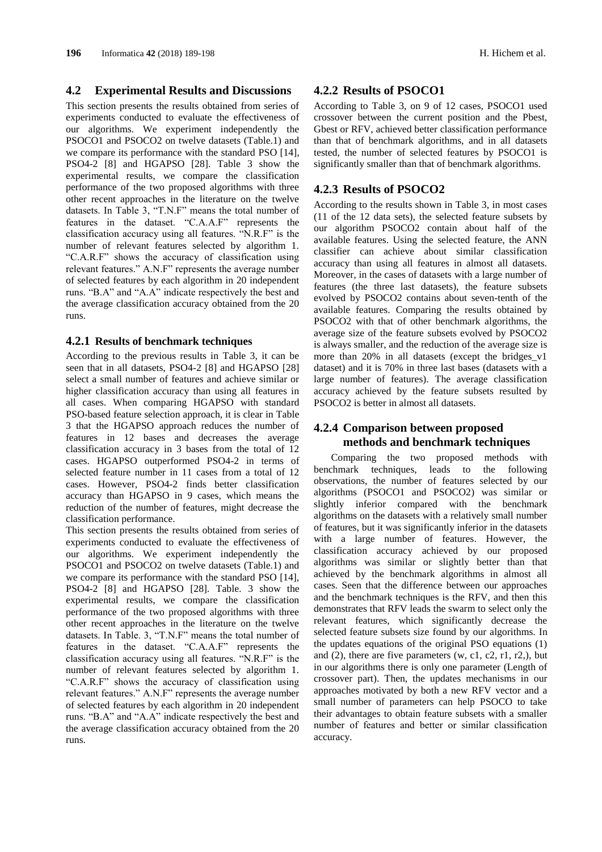### **4.2 Experimental Results and Discussions**

This section presents the results obtained from series of experiments conducted to evaluate the effectiveness of our algorithms. We experiment independently the PSOCO1 and PSOCO2 on twelve datasets (Table.1) and we compare its performance with the standard PSO [14], PSO4-2 [8] and HGAPSO [28]. Table 3 show the experimental results, we compare the classification performance of the two proposed algorithms with three other recent approaches in the literature on the twelve datasets. In Table 3, "T.N.F" means the total number of features in the dataset. "C.A.A.F" represents the classification accuracy using all features. "N.R.F" is the number of relevant features selected by algorithm 1. "C.A.R.F" shows the accuracy of classification using relevant features." A.N.F" represents the average number of selected features by each algorithm in 20 independent runs. "B.A" and "A.A" indicate respectively the best and the average classification accuracy obtained from the 20 runs.

### **4.2.1 Results of benchmark techniques**

According to the previous results in Table 3, it can be seen that in all datasets, PSO4-2 [8] and HGAPSO [28] select a small number of features and achieve similar or higher classification accuracy than using all features in all cases. When comparing HGAPSO with standard PSO-based feature selection approach, it is clear in Table 3 that the HGAPSO approach reduces the number of features in 12 bases and decreases the average classification accuracy in 3 bases from the total of 12 cases. HGAPSO outperformed PSO4-2 in terms of selected feature number in 11 cases from a total of 12 cases. However, PSO4-2 finds better classification accuracy than HGAPSO in 9 cases, which means the reduction of the number of features, might decrease the classification performance.

This section presents the results obtained from series of experiments conducted to evaluate the effectiveness of our algorithms. We experiment independently the PSOCO1 and PSOCO2 on twelve datasets (Table.1) and we compare its performance with the standard PSO [14], PSO4-2 [8] and HGAPSO [28]. Table. 3 show the experimental results, we compare the classification performance of the two proposed algorithms with three other recent approaches in the literature on the twelve datasets. In Table. 3, "T.N.F" means the total number of features in the dataset. "C.A.A.F" represents the classification accuracy using all features. "N.R.F" is the number of relevant features selected by algorithm 1. "C.A.R.F" shows the accuracy of classification using relevant features." A.N.F" represents the average number of selected features by each algorithm in 20 independent runs. "B.A" and "A.A" indicate respectively the best and the average classification accuracy obtained from the 20 runs.

# **4.2.2 Results of PSOCO1**

According to Table 3, on 9 of 12 cases, PSOCO1 used crossover between the current position and the Pbest, Gbest or RFV, achieved better classification performance than that of benchmark algorithms, and in all datasets tested, the number of selected features by PSOCO1 is significantly smaller than that of benchmark algorithms.

# **4.2.3 Results of PSOCO2**

According to the results shown in Table 3, in most cases (11 of the 12 data sets), the selected feature subsets by our algorithm PSOCO2 contain about half of the available features. Using the selected feature, the ANN classifier can achieve about similar classification accuracy than using all features in almost all datasets. Moreover, in the cases of datasets with a large number of features (the three last datasets), the feature subsets evolved by PSOCO2 contains about seven-tenth of the available features. Comparing the results obtained by PSOCO2 with that of other benchmark algorithms, the average size of the feature subsets evolved by PSOCO2 is always smaller, and the reduction of the average size is more than 20% in all datasets (except the bridges\_v1 dataset) and it is 70% in three last bases (datasets with a large number of features). The average classification accuracy achieved by the feature subsets resulted by PSOCO2 is better in almost all datasets.

# **4.2.4 Comparison between proposed methods and benchmark techniques**

Comparing the two proposed methods with benchmark techniques, leads to the following observations, the number of features selected by our algorithms (PSOCO1 and PSOCO2) was similar or slightly inferior compared with the benchmark algorithms on the datasets with a relatively small number of features, but it was significantly inferior in the datasets with a large number of features. However, the classification accuracy achieved by our proposed algorithms was similar or slightly better than that achieved by the benchmark algorithms in almost all cases. Seen that the difference between our approaches and the benchmark techniques is the RFV, and then this demonstrates that RFV leads the swarm to select only the relevant features, which significantly decrease the selected feature subsets size found by our algorithms. In the updates equations of the original PSO equations (1) and  $(2)$ , there are five parameters  $(w, c1, c2, r1, r2)$ , but in our algorithms there is only one parameter (Length of crossover part). Then, the updates mechanisms in our approaches motivated by both a new RFV vector and a small number of parameters can help PSOCO to take their advantages to obtain feature subsets with a smaller number of features and better or similar classification accuracy.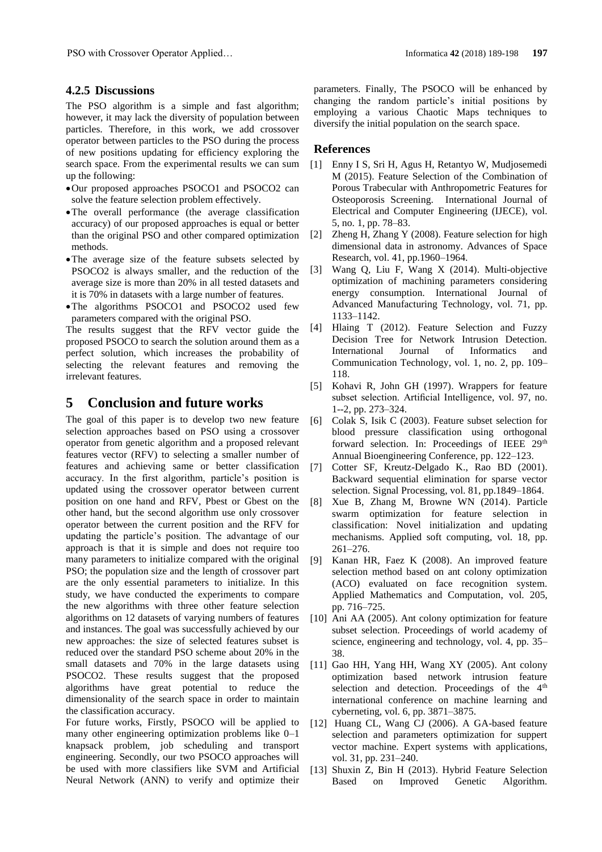### **4.2.5 Discussions**

The PSO algorithm is a simple and fast algorithm; however, it may lack the diversity of population between particles. Therefore, in this work, we add crossover operator between particles to the PSO during the process of new positions updating for efficiency exploring the search space. From the experimental results we can sum up the following:

- Our proposed approaches PSOCO1 and PSOCO2 can solve the feature selection problem effectively.
- The overall performance (the average classification accuracy) of our proposed approaches is equal or better than the original PSO and other compared optimization methods.
- The average size of the feature subsets selected by PSOCO2 is always smaller, and the reduction of the average size is more than 20% in all tested datasets and it is 70% in datasets with a large number of features.
- The algorithms PSOCO1 and PSOCO2 used few parameters compared with the original PSO.

The results suggest that the RFV vector guide the proposed PSOCO to search the solution around them as a perfect solution, which increases the probability of selecting the relevant features and removing the irrelevant features.

# **5 Conclusion and future works**

The goal of this paper is to develop two new feature selection approaches based on PSO using a crossover operator from genetic algorithm and a proposed relevant features vector (RFV) to selecting a smaller number of features and achieving same or better classification accuracy. In the first algorithm, particle's position is updated using the crossover operator between current position on one hand and RFV, Pbest or Gbest on the other hand, but the second algorithm use only crossover operator between the current position and the RFV for updating the particle's position. The advantage of our approach is that it is simple and does not require too many parameters to initialize compared with the original PSO; the population size and the length of crossover part are the only essential parameters to initialize. In this study, we have conducted the experiments to compare the new algorithms with three other feature selection algorithms on 12 datasets of varying numbers of features and instances. The goal was successfully achieved by our new approaches: the size of selected features subset is reduced over the standard PSO scheme about 20% in the small datasets and 70% in the large datasets using PSOCO2. These results suggest that the proposed algorithms have great potential to reduce the dimensionality of the search space in order to maintain the classification accuracy.

For future works, Firstly, PSOCO will be applied to many other engineering optimization problems like 0–1 knapsack problem, job scheduling and transport engineering. Secondly, our two PSOCO approaches will be used with more classifiers like SVM and Artificial Neural Network (ANN) to verify and optimize their parameters. Finally, The PSOCO will be enhanced by changing the random particle's initial positions by employing a various Chaotic Maps techniques to diversify the initial population on the search space.

### **References**

- [1] Enny I S, Sri H, Agus H, Retantyo W, Mudjosemedi M (2015). Feature Selection of the Combination of Porous Trabecular with Anthropometric Features for Osteoporosis Screening. International Journal of Electrical and Computer Engineering (IJECE), vol. 5, no. 1, pp. 78–83.
- [2] Zheng H, Zhang Y (2008). Feature selection for high dimensional data in astronomy. Advances of Space Research, vol. [41,](http://www.sciencedirect.com/science/journal/02731177/41/12) pp.1960–1964.
- [3] Wang Q, Liu F, Wang X (2014). Multi-objective optimization of machining parameters considering energy consumption. International Journal of Advanced Manufacturing Technology, vol. 71, pp. 1133–1142.
- [4] Hlaing T (2012). Feature Selection and Fuzzy Decision Tree for Network Intrusion Detection. International Journal of Informatics and Communication Technology, vol. 1, no. 2, pp. 109– 118.
- [5] Kohavi R, John GH (1997). Wrappers for feature subset selection. Artificial Intelligence, vol. 97, no. 1--2, pp. 273–324.
- [6] Colak S, Isik C (2003). Feature subset selection for blood pressure classification using orthogonal forward selection. In: Proceedings of IEEE 29th Annual Bioengineering Conference, pp. 122–123.
- [7] Cotter SF, Kreutz-Delgado K., Rao BD (2001). Backward sequential elimination for sparse vector selection. Signal Processing, vol. 81, pp.1849–1864.
- [8] Xue B, Zhang M, Browne WN (2014). Particle swarm optimization for feature selection in classification: Novel initialization and updating mechanisms. Applied soft computing, vol. 18, pp. 261–276.
- [9] Kanan HR, Faez K (2008). An improved feature selection method based on ant colony optimization (ACO) evaluated on face recognition system. Applied Mathematics and Computation, vol. 205, pp. 716–725.
- [10] Ani AA (2005). Ant colony optimization for feature subset selection. Proceedings of world academy of science, engineering and technology, vol. 4, pp. 35– 38.
- [11] Gao HH, Yang HH, Wang XY (2005). Ant colony optimization based network intrusion feature selection and detection. Proceedings of the 4<sup>th</sup> international conference on machine learning and cyberneting, vol. 6, pp. 3871–3875.
- [12] Huang CL, Wang CJ (2006). A GA-based feature selection and parameters optimization for suppert vector machine. Expert systems with applications, vol. 31, pp. 231–240.
- [13] Shuxin Z, Bin H (2013). Hybrid Feature Selection Based on Improved Genetic Algorithm.